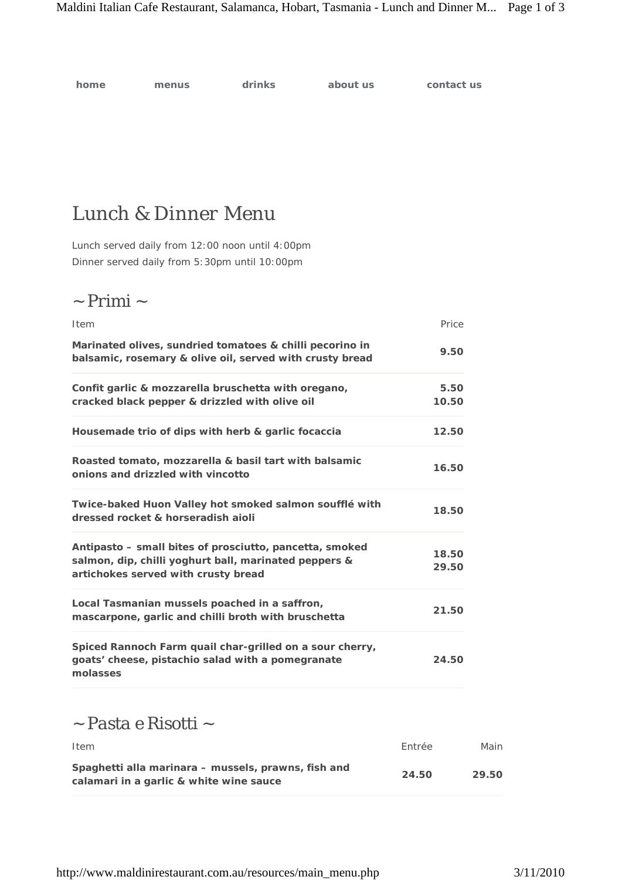contact us

| home | menus | drinks | about us |
|------|-------|--------|----------|
|      |       |        |          |

## *Lunch & Dinner Menu*

Lunch served daily from 12:00 noon until 4:00pm Dinner served daily from 5:30pm until 10:00pm

## *~ Primi ~*

| <i>Item</i>                                                                                                                                             | Price          |
|---------------------------------------------------------------------------------------------------------------------------------------------------------|----------------|
| Marinated olives, sundried tomatoes & chilli pecorino in<br>balsamic, rosemary & olive oil, served with crusty bread                                    | 9.50           |
| Confit garlic & mozzarella bruschetta with oregano,<br>cracked black pepper & drizzled with olive oil                                                   | 5.50<br>10.50  |
| Housemade trio of dips with herb & garlic focaccia                                                                                                      | 12.50          |
| Roasted tomato, mozzarella & basil tart with balsamic<br>onions and drizzled with vincotto                                                              | 16.50          |
| Twice-baked Huon Valley hot smoked salmon soufflé with<br>dressed rocket & horseradish aioli                                                            | 18.50          |
| Antipasto - small bites of prosciutto, pancetta, smoked<br>salmon, dip, chilli yoghurt ball, marinated peppers &<br>artichokes served with crusty bread | 18.50<br>29.50 |
| Local Tasmanian mussels poached in a saffron,<br>mascarpone, garlic and chilli broth with bruschetta                                                    | 21.50          |
| Spiced Rannoch Farm quail char-grilled on a sour cherry,<br>goats' cheese, pistachio salad with a pomegranate<br>molasses                               | 24.50          |

*~ Pasta e Risotti ~*

| <i>Item</i>                                                                                    | Fntrée | Main  |
|------------------------------------------------------------------------------------------------|--------|-------|
| Spaghetti alla marinara – mussels, prawns, fish and<br>calamari in a garlic & white wine sauce | 24.50  | 29.50 |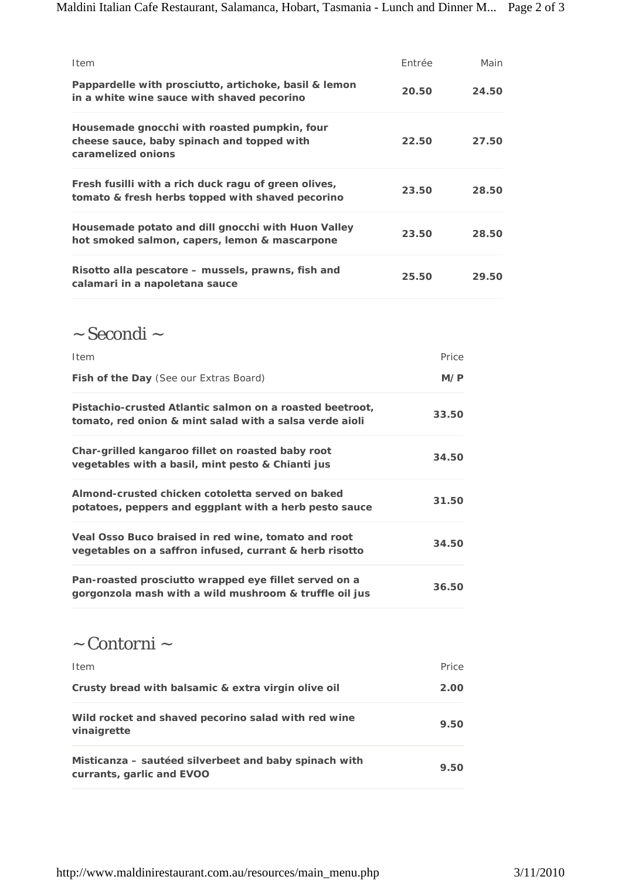| <b>Item</b>                                                                                                      | Entrée | Main  |
|------------------------------------------------------------------------------------------------------------------|--------|-------|
| Pappardelle with prosciutto, artichoke, basil & lemon<br>in a white wine sauce with shaved pecorino              | 20.50  | 24.50 |
| Housemade gnocchi with roasted pumpkin, four<br>cheese sauce, baby spinach and topped with<br>caramelized onions | 22.50  | 27.50 |
| Fresh fusilli with a rich duck ragu of green olives,<br>tomato & fresh herbs topped with shaved pecorino         | 23.50  | 28.50 |
| Housemade potato and dill gnocchi with Huon Valley<br>hot smoked salmon, capers, lemon & mascarpone              | 23.50  | 28.50 |
| Risotto alla pescatore – mussels, prawns, fish and<br>calamari in a napoletana sauce                             | 25.50  | 29.50 |

*~ Secondi ~*

| <i>Item</i>                                                                                                         | Price |
|---------------------------------------------------------------------------------------------------------------------|-------|
| Fish of the Day (See our Extras Board)                                                                              | M/P   |
| Pistachio-crusted Atlantic salmon on a roasted beetroot,<br>tomato, red onion & mint salad with a salsa verde aioli | 33.50 |
| Char-grilled kangaroo fillet on roasted baby root<br>vegetables with a basil, mint pesto & Chianti jus              | 34.50 |
| Almond-crusted chicken cotoletta served on baked<br>potatoes, peppers and eggplant with a herb pesto sauce          | 31.50 |
| Veal Osso Buco braised in red wine, tomato and root<br>vegetables on a saffron infused, currant & herb risotto      | 34.50 |
| Pan-roasted prosciutto wrapped eye fillet served on a<br>gorgonzola mash with a wild mushroom & truffle oil jus     | 36.50 |

*~ Contorni ~*

| <i>Item</i>                                                                        | Price |
|------------------------------------------------------------------------------------|-------|
| Crusty bread with balsamic & extra virgin olive oil                                | 2.00  |
| Wild rocket and shaved pecorino salad with red wine<br>vinaigrette                 | 9.50  |
| Misticanza – sautéed silverbeet and baby spinach with<br>currants, garlic and EVOO | 9.50  |